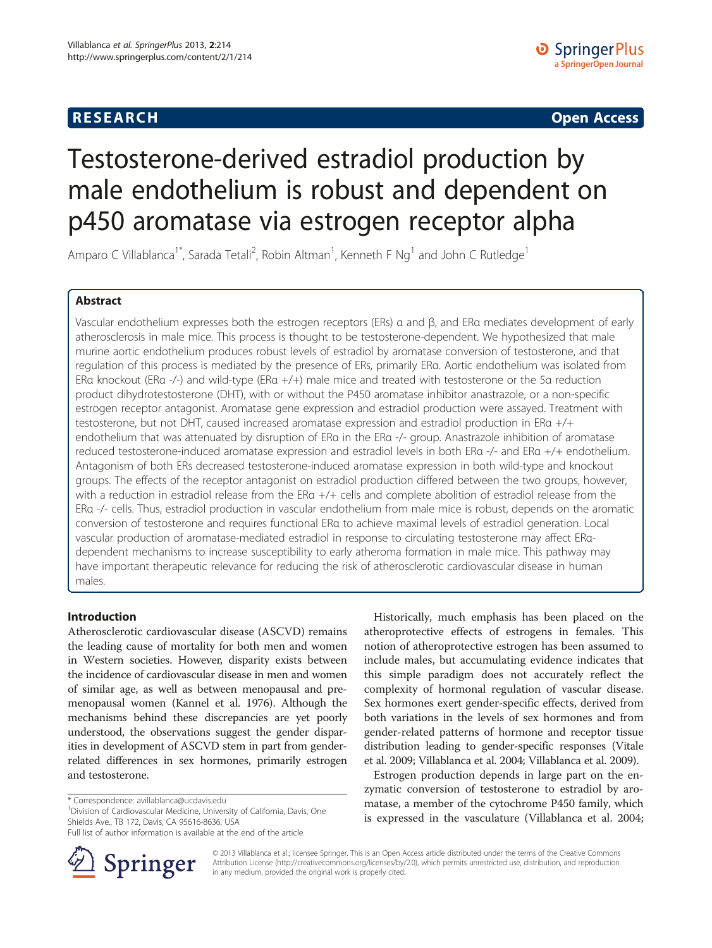## **RESEARCH RESEARCH CONSUMING ACCESS**

# Testosterone-derived estradiol production by male endothelium is robust and dependent on p450 aromatase via estrogen receptor alpha

Amparo C Villablanca<sup>1\*</sup>, Sarada Tetali<sup>2</sup>, Robin Altman<sup>1</sup>, Kenneth F Ng<sup>1</sup> and John C Rutledge<sup>1</sup>

## Abstract

Vascular endothelium expresses both the estrogen receptors (ERs) α and β, and ERα mediates development of early atherosclerosis in male mice. This process is thought to be testosterone-dependent. We hypothesized that male murine aortic endothelium produces robust levels of estradiol by aromatase conversion of testosterone, and that regulation of this process is mediated by the presence of ERs, primarily ERα. Aortic endothelium was isolated from ERα knockout (ERα -/-) and wild-type (ERα +/+) male mice and treated with testosterone or the 5α reduction product dihydrotestosterone (DHT), with or without the P450 aromatase inhibitor anastrazole, or a non-specific estrogen receptor antagonist. Aromatase gene expression and estradiol production were assayed. Treatment with testosterone, but not DHT, caused increased aromatase expression and estradiol production in ERα +/+ endothelium that was attenuated by disruption of ERα in the ERα -/- group. Anastrazole inhibition of aromatase reduced testosterone-induced aromatase expression and estradiol levels in both ERα -/- and ERα +/+ endothelium. Antagonism of both ERs decreased testosterone-induced aromatase expression in both wild-type and knockout groups. The effects of the receptor antagonist on estradiol production differed between the two groups, however, with a reduction in estradiol release from the ERα +/+ cells and complete abolition of estradiol release from the ERα -/- cells. Thus, estradiol production in vascular endothelium from male mice is robust, depends on the aromatic conversion of testosterone and requires functional ERα to achieve maximal levels of estradiol generation. Local vascular production of aromatase-mediated estradiol in response to circulating testosterone may affect ERαdependent mechanisms to increase susceptibility to early atheroma formation in male mice. This pathway may have important therapeutic relevance for reducing the risk of atherosclerotic cardiovascular disease in human males.

## Introduction

Atherosclerotic cardiovascular disease (ASCVD) remains the leading cause of mortality for both men and women in Western societies. However, disparity exists between the incidence of cardiovascular disease in men and women of similar age, as well as between menopausal and premenopausal women (Kannel et al. [1976](#page-8-0)). Although the mechanisms behind these discrepancies are yet poorly understood, the observations suggest the gender disparities in development of ASCVD stem in part from genderrelated differences in sex hormones, primarily estrogen and testosterone.

\* Correspondence: [avillablanca@ucdavis.edu](mailto:avillablanca@ucdavis.edu) <sup>1</sup>

<sup>1</sup> Division of Cardiovascular Medicine, University of California, Davis, One Shields Ave., TB 172, Davis, CA 95616-8636, USA

Full list of author information is available at the end of the article



Historically, much emphasis has been placed on the atheroprotective effects of estrogens in females. This notion of atheroprotective estrogen has been assumed to include males, but accumulating evidence indicates that this simple paradigm does not accurately reflect the complexity of hormonal regulation of vascular disease. Sex hormones exert gender-specific effects, derived from both variations in the levels of sex hormones and from gender-related patterns of hormone and receptor tissue distribution leading to gender-specific responses (Vitale et al. [2009](#page-9-0); Villablanca et al. [2004](#page-9-0); Villablanca et al. [2009](#page-9-0)).

Estrogen production depends in large part on the enzymatic conversion of testosterone to estradiol by aromatase, a member of the cytochrome P450 family, which is expressed in the vasculature (Villablanca et al. [2004](#page-9-0);

© 2013 Villablanca et al.; licensee Springer. This is an Open Access article distributed under the terms of the Creative Commons Attribution License [\(http://creativecommons.org/licenses/by/2.0\)](http://creativecommons.org/licenses/by/2.0), which permits unrestricted use, distribution, and reproduction in any medium, provided the original work is properly cited.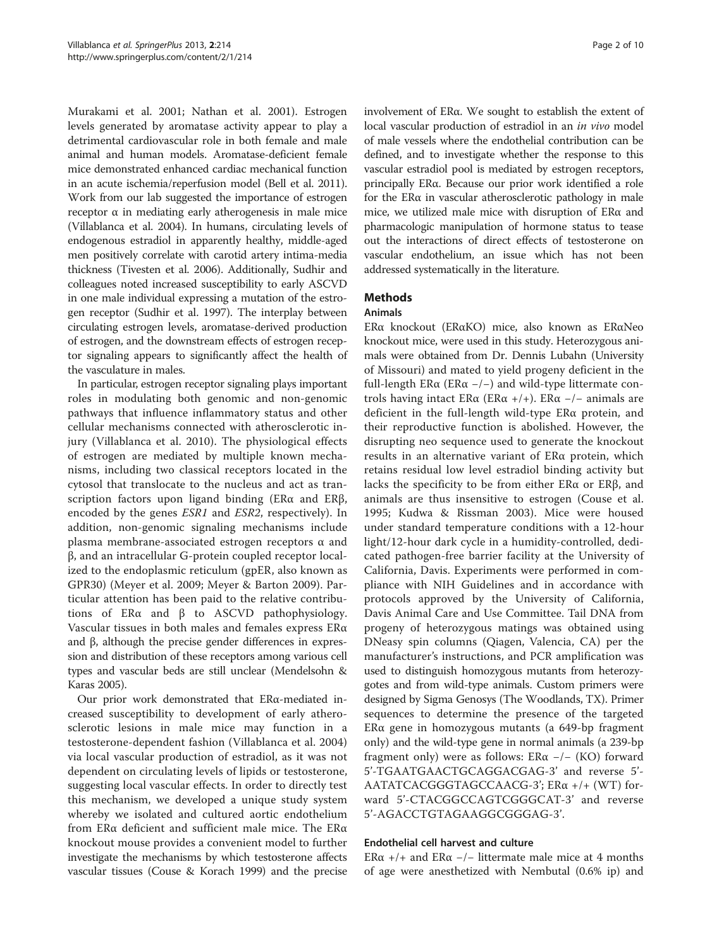Murakami et al. [2001;](#page-9-0) Nathan et al. [2001\)](#page-9-0). Estrogen levels generated by aromatase activity appear to play a detrimental cardiovascular role in both female and male animal and human models. Aromatase-deficient female mice demonstrated enhanced cardiac mechanical function in an acute ischemia/reperfusion model (Bell et al. [2011](#page-8-0)). Work from our lab suggested the importance of estrogen receptor α in mediating early atherogenesis in male mice (Villablanca et al. [2004](#page-9-0)). In humans, circulating levels of endogenous estradiol in apparently healthy, middle-aged men positively correlate with carotid artery intima-media thickness (Tivesten et al. [2006\)](#page-9-0). Additionally, Sudhir and colleagues noted increased susceptibility to early ASCVD in one male individual expressing a mutation of the estrogen receptor (Sudhir et al. [1997](#page-9-0)). The interplay between circulating estrogen levels, aromatase-derived production of estrogen, and the downstream effects of estrogen receptor signaling appears to significantly affect the health of the vasculature in males.

In particular, estrogen receptor signaling plays important roles in modulating both genomic and non-genomic pathways that influence inflammatory status and other cellular mechanisms connected with atherosclerotic injury (Villablanca et al. [2010\)](#page-9-0). The physiological effects of estrogen are mediated by multiple known mechanisms, including two classical receptors located in the cytosol that translocate to the nucleus and act as transcription factors upon ligand binding (ERα and ERβ, encoded by the genes ESR1 and ESR2, respectively). In addition, non-genomic signaling mechanisms include plasma membrane-associated estrogen receptors α and β, and an intracellular G-protein coupled receptor localized to the endoplasmic reticulum (gpER, also known as GPR30) (Meyer et al. [2009](#page-9-0); Meyer & Barton [2009\)](#page-9-0). Particular attention has been paid to the relative contributions of ERα and β to ASCVD pathophysiology. Vascular tissues in both males and females express ERα and β, although the precise gender differences in expression and distribution of these receptors among various cell types and vascular beds are still unclear (Mendelsohn & Karas [2005](#page-9-0)).

Our prior work demonstrated that ERα-mediated increased susceptibility to development of early atherosclerotic lesions in male mice may function in a testosterone-dependent fashion (Villablanca et al. [2004](#page-9-0)) via local vascular production of estradiol, as it was not dependent on circulating levels of lipids or testosterone, suggesting local vascular effects. In order to directly test this mechanism, we developed a unique study system whereby we isolated and cultured aortic endothelium from ERα deficient and sufficient male mice. The ERα knockout mouse provides a convenient model to further investigate the mechanisms by which testosterone affects vascular tissues (Couse & Korach [1999](#page-8-0)) and the precise involvement of ERα. We sought to establish the extent of local vascular production of estradiol in an in vivo model of male vessels where the endothelial contribution can be defined, and to investigate whether the response to this vascular estradiol pool is mediated by estrogen receptors, principally ERα. Because our prior work identified a role for the ERα in vascular atherosclerotic pathology in male mice, we utilized male mice with disruption of ERα and pharmacologic manipulation of hormone status to tease out the interactions of direct effects of testosterone on vascular endothelium, an issue which has not been addressed systematically in the literature.

## Methods

#### Animals

ERα knockout (ERαKO) mice, also known as ERαNeo knockout mice, were used in this study. Heterozygous animals were obtained from Dr. Dennis Lubahn (University of Missouri) and mated to yield progeny deficient in the full-length ER $\alpha$  (ER $\alpha$  -/-) and wild-type littermate controls having intact ERα (ERα +/+). ERα -/- animals are deficient in the full-length wild-type ERα protein, and their reproductive function is abolished. However, the disrupting neo sequence used to generate the knockout results in an alternative variant of ERα protein, which retains residual low level estradiol binding activity but lacks the specificity to be from either ERα or ERβ, and animals are thus insensitive to estrogen (Couse et al. [1995;](#page-8-0) Kudwa & Rissman [2003\)](#page-9-0). Mice were housed under standard temperature conditions with a 12-hour light/12-hour dark cycle in a humidity-controlled, dedicated pathogen-free barrier facility at the University of California, Davis. Experiments were performed in compliance with NIH Guidelines and in accordance with protocols approved by the University of California, Davis Animal Care and Use Committee. Tail DNA from progeny of heterozygous matings was obtained using DNeasy spin columns (Qiagen, Valencia, CA) per the manufacturer's instructions, and PCR amplification was used to distinguish homozygous mutants from heterozygotes and from wild-type animals. Custom primers were designed by Sigma Genosys (The Woodlands, TX). Primer sequences to determine the presence of the targeted ERα gene in homozygous mutants (a 649-bp fragment only) and the wild-type gene in normal animals (a 239-bp fragment only) were as follows: ER $\alpha$  –/– (KO) forward 5'-TGAATGAACTGCAGGACGAG-3' and reverse 5'- AATATCACGGGTAGCCAACG-3'; ERα +/+ (WT) forward 5'-CTACGGCCAGTCGGGCAT-3' and reverse 5'-AGACCTGTAGAAGGCGGGAG-3'.

#### Endothelial cell harvest and culture

ER $\alpha$  +/+ and ER $\alpha$  -/- littermate male mice at 4 months of age were anesthetized with Nembutal (0.6% ip) and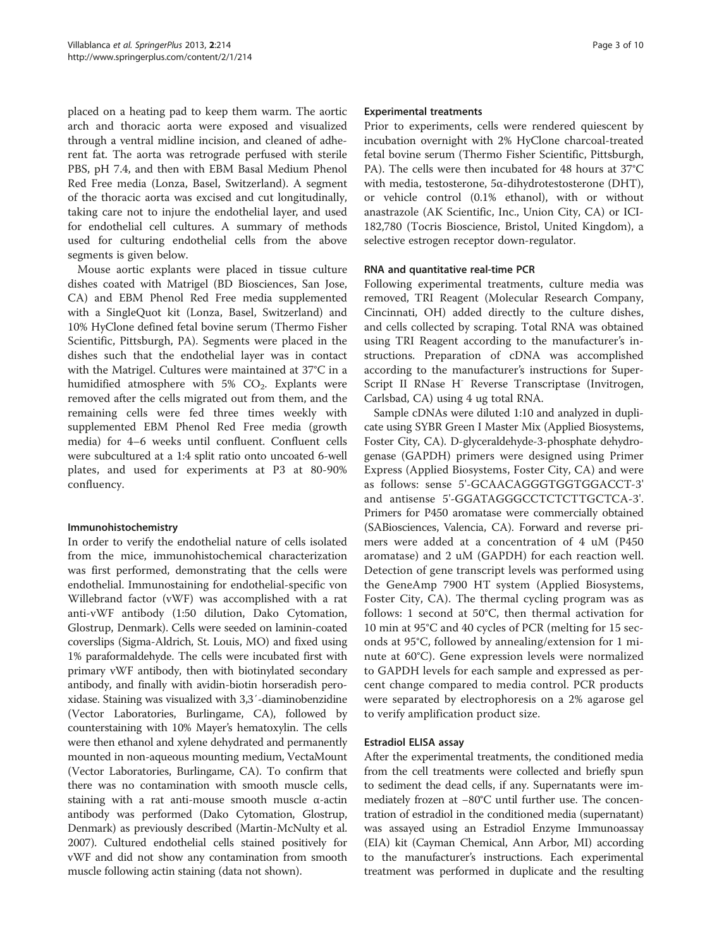placed on a heating pad to keep them warm. The aortic arch and thoracic aorta were exposed and visualized through a ventral midline incision, and cleaned of adherent fat. The aorta was retrograde perfused with sterile PBS, pH 7.4, and then with EBM Basal Medium Phenol Red Free media (Lonza, Basel, Switzerland). A segment of the thoracic aorta was excised and cut longitudinally, taking care not to injure the endothelial layer, and used for endothelial cell cultures. A summary of methods used for culturing endothelial cells from the above segments is given below.

Mouse aortic explants were placed in tissue culture dishes coated with Matrigel (BD Biosciences, San Jose, CA) and EBM Phenol Red Free media supplemented with a SingleQuot kit (Lonza, Basel, Switzerland) and 10% HyClone defined fetal bovine serum (Thermo Fisher Scientific, Pittsburgh, PA). Segments were placed in the dishes such that the endothelial layer was in contact with the Matrigel. Cultures were maintained at 37°C in a humidified atmosphere with  $5\%$  CO<sub>2</sub>. Explants were removed after the cells migrated out from them, and the remaining cells were fed three times weekly with supplemented EBM Phenol Red Free media (growth media) for 4–6 weeks until confluent. Confluent cells were subcultured at a 1:4 split ratio onto uncoated 6-well plates, and used for experiments at P3 at 80-90% confluency.

#### Immunohistochemistry

In order to verify the endothelial nature of cells isolated from the mice, immunohistochemical characterization was first performed, demonstrating that the cells were endothelial. Immunostaining for endothelial-specific von Willebrand factor (vWF) was accomplished with a rat anti-vWF antibody (1:50 dilution, Dako Cytomation, Glostrup, Denmark). Cells were seeded on laminin-coated coverslips (Sigma-Aldrich, St. Louis, MO) and fixed using 1% paraformaldehyde. The cells were incubated first with primary vWF antibody, then with biotinylated secondary antibody, and finally with avidin-biotin horseradish peroxidase. Staining was visualized with 3,3′-diaminobenzidine (Vector Laboratories, Burlingame, CA), followed by counterstaining with 10% Mayer's hematoxylin. The cells were then ethanol and xylene dehydrated and permanently mounted in non-aqueous mounting medium, VectaMount (Vector Laboratories, Burlingame, CA). To confirm that there was no contamination with smooth muscle cells, staining with a rat anti-mouse smooth muscle α-actin antibody was performed (Dako Cytomation, Glostrup, Denmark) as previously described (Martin-McNulty et al. [2007\)](#page-9-0). Cultured endothelial cells stained positively for vWF and did not show any contamination from smooth muscle following actin staining (data not shown).

#### Experimental treatments

Prior to experiments, cells were rendered quiescent by incubation overnight with 2% HyClone charcoal-treated fetal bovine serum (Thermo Fisher Scientific, Pittsburgh, PA). The cells were then incubated for 48 hours at 37°C with media, testosterone, 5α-dihydrotestosterone (DHT), or vehicle control (0.1% ethanol), with or without anastrazole (AK Scientific, Inc., Union City, CA) or ICI-182,780 (Tocris Bioscience, Bristol, United Kingdom), a selective estrogen receptor down-regulator.

#### RNA and quantitative real-time PCR

Following experimental treatments, culture media was removed, TRI Reagent (Molecular Research Company, Cincinnati, OH) added directly to the culture dishes, and cells collected by scraping. Total RNA was obtained using TRI Reagent according to the manufacturer's instructions. Preparation of cDNA was accomplished according to the manufacturer's instructions for Super-Script II RNase H<sup>-</sup> Reverse Transcriptase (Invitrogen, Carlsbad, CA) using 4 ug total RNA.

Sample cDNAs were diluted 1:10 and analyzed in duplicate using SYBR Green I Master Mix (Applied Biosystems, Foster City, CA). D-glyceraldehyde-3-phosphate dehydrogenase (GAPDH) primers were designed using Primer Express (Applied Biosystems, Foster City, CA) and were as follows: sense 5'-GCAACAGGGTGGTGGACCT-3' and antisense 5'-GGATAGGGCCTCTCTTGCTCA-3'. Primers for P450 aromatase were commercially obtained (SABiosciences, Valencia, CA). Forward and reverse primers were added at a concentration of 4 uM (P450 aromatase) and 2 uM (GAPDH) for each reaction well. Detection of gene transcript levels was performed using the GeneAmp 7900 HT system (Applied Biosystems, Foster City, CA). The thermal cycling program was as follows: 1 second at 50°C, then thermal activation for 10 min at 95°C and 40 cycles of PCR (melting for 15 seconds at 95°C, followed by annealing/extension for 1 minute at 60°C). Gene expression levels were normalized to GAPDH levels for each sample and expressed as percent change compared to media control. PCR products were separated by electrophoresis on a 2% agarose gel to verify amplification product size.

#### Estradiol ELISA assay

After the experimental treatments, the conditioned media from the cell treatments were collected and briefly spun to sediment the dead cells, if any. Supernatants were immediately frozen at −80°C until further use. The concentration of estradiol in the conditioned media (supernatant) was assayed using an Estradiol Enzyme Immunoassay (EIA) kit (Cayman Chemical, Ann Arbor, MI) according to the manufacturer's instructions. Each experimental treatment was performed in duplicate and the resulting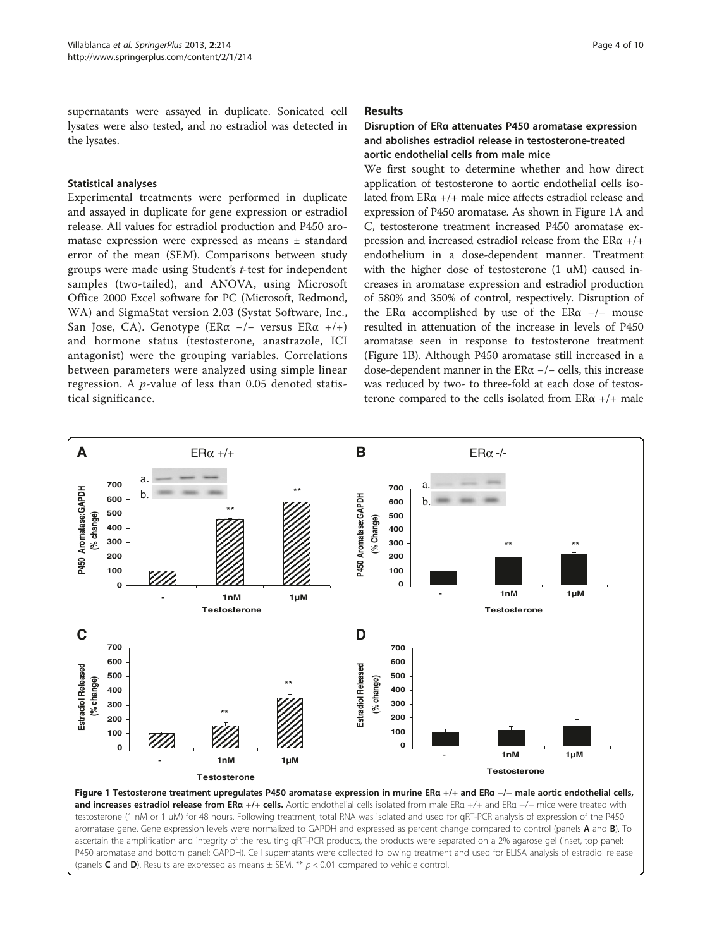<span id="page-3-0"></span>supernatants were assayed in duplicate. Sonicated cell lysates were also tested, and no estradiol was detected in the lysates.

#### Statistical analyses

Experimental treatments were performed in duplicate and assayed in duplicate for gene expression or estradiol release. All values for estradiol production and P450 aromatase expression were expressed as means ± standard error of the mean (SEM). Comparisons between study groups were made using Student's t-test for independent samples (two-tailed), and ANOVA, using Microsoft Office 2000 Excel software for PC (Microsoft, Redmond, WA) and SigmaStat version 2.03 (Systat Software, Inc., San Jose, CA). Genotype (ER $\alpha$  -/- versus ER $\alpha$  +/+) and hormone status (testosterone, anastrazole, ICI antagonist) were the grouping variables. Correlations between parameters were analyzed using simple linear regression. A p-value of less than 0.05 denoted statistical significance.

#### Results

## Disruption of ERα attenuates P450 aromatase expression and abolishes estradiol release in testosterone-treated aortic endothelial cells from male mice

We first sought to determine whether and how direct application of testosterone to aortic endothelial cells isolated from ERα +/+ male mice affects estradiol release and expression of P450 aromatase. As shown in Figure 1A and C, testosterone treatment increased P450 aromatase expression and increased estradiol release from the  $ER\alpha$  +/+ endothelium in a dose-dependent manner. Treatment with the higher dose of testosterone (1 uM) caused increases in aromatase expression and estradiol production of 580% and 350% of control, respectively. Disruption of the ER $\alpha$  accomplished by use of the ER $\alpha$  -/- mouse resulted in attenuation of the increase in levels of P450 aromatase seen in response to testosterone treatment (Figure 1B). Although P450 aromatase still increased in a dose-dependent manner in the ERα −/− cells, this increase was reduced by two- to three-fold at each dose of testosterone compared to the cells isolated from  $ER\alpha$  +/+ male



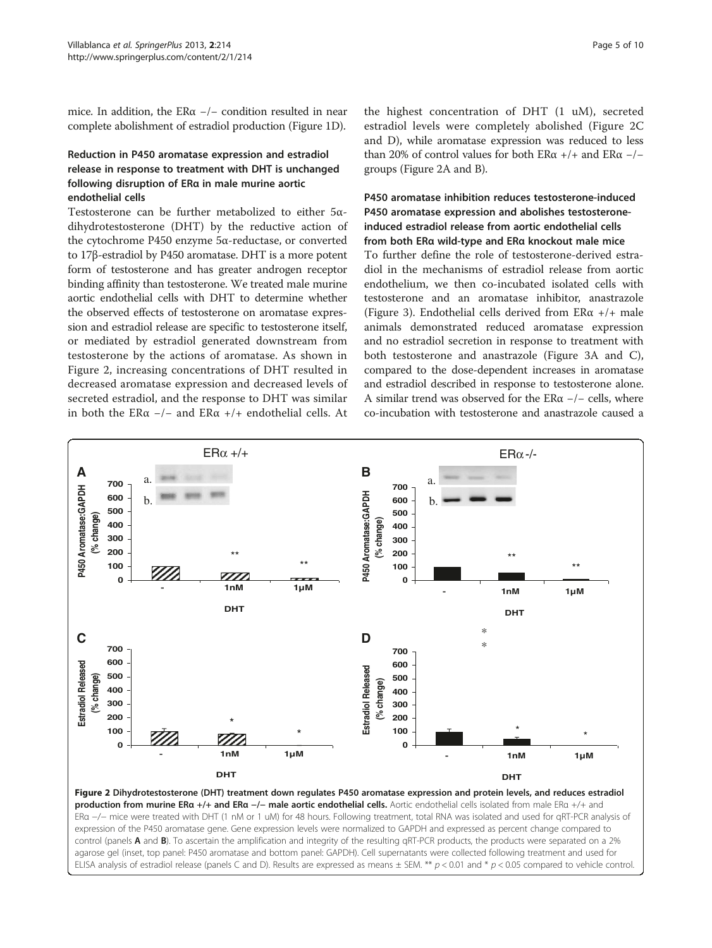mice. In addition, the ER $\alpha$  -/- condition resulted in near complete abolishment of estradiol production (Figure [1](#page-3-0)D).

## Reduction in P450 aromatase expression and estradiol release in response to treatment with DHT is unchanged following disruption of ERα in male murine aortic endothelial cells

Testosterone can be further metabolized to either 5αdihydrotestosterone (DHT) by the reductive action of the cytochrome P450 enzyme 5α-reductase, or converted to 17β-estradiol by P450 aromatase. DHT is a more potent form of testosterone and has greater androgen receptor binding affinity than testosterone. We treated male murine aortic endothelial cells with DHT to determine whether the observed effects of testosterone on aromatase expression and estradiol release are specific to testosterone itself, or mediated by estradiol generated downstream from testosterone by the actions of aromatase. As shown in Figure 2, increasing concentrations of DHT resulted in decreased aromatase expression and decreased levels of secreted estradiol, and the response to DHT was similar in both the ER $\alpha$  -/- and ER $\alpha$  +/+ endothelial cells. At

the highest concentration of DHT (1 uM), secreted estradiol levels were completely abolished (Figure 2C and D), while aromatase expression was reduced to less than 20% of control values for both ER $\alpha$  +/+ and ER $\alpha$  -/groups (Figure 2A and B).

P450 aromatase inhibition reduces testosterone-induced P450 aromatase expression and abolishes testosteroneinduced estradiol release from aortic endothelial cells from both ERα wild-type and ERα knockout male mice To further define the role of testosterone-derived estradiol in the mechanisms of estradiol release from aortic endothelium, we then co-incubated isolated cells with testosterone and an aromatase inhibitor, anastrazole (Figure [3](#page-5-0)). Endothelial cells derived from ER $\alpha$  +/+ male animals demonstrated reduced aromatase expression and no estradiol secretion in response to treatment with both testosterone and anastrazole (Figure [3A](#page-5-0) and C), compared to the dose-dependent increases in aromatase and estradiol described in response to testosterone alone. A similar trend was observed for the ERα −/− cells, where co-incubation with testosterone and anastrazole caused a



Figure 2 Dihydrotestosterone (DHT) treatment down regulates P450 aromatase expression and protein levels, and reduces estradiol production from murine ERα +/+ and ERα -/- male aortic endothelial cells. Aortic endothelial cells isolated from male ERα +/+ and ERα −/− mice were treated with DHT (1 nM or 1 uM) for 48 hours. Following treatment, total RNA was isolated and used for qRT-PCR analysis of expression of the P450 aromatase gene. Gene expression levels were normalized to GAPDH and expressed as percent change compared to control (panels A and B). To ascertain the amplification and integrity of the resulting qRT-PCR products, the products were separated on a 2% agarose gel (inset, top panel: P450 aromatase and bottom panel: GAPDH). Cell supernatants were collected following treatment and used for ELISA analysis of estradiol release (panels C and D). Results are expressed as means  $\pm$  SEM. \*\*  $p < 0.01$  and \*  $p < 0.05$  compared to vehicle control.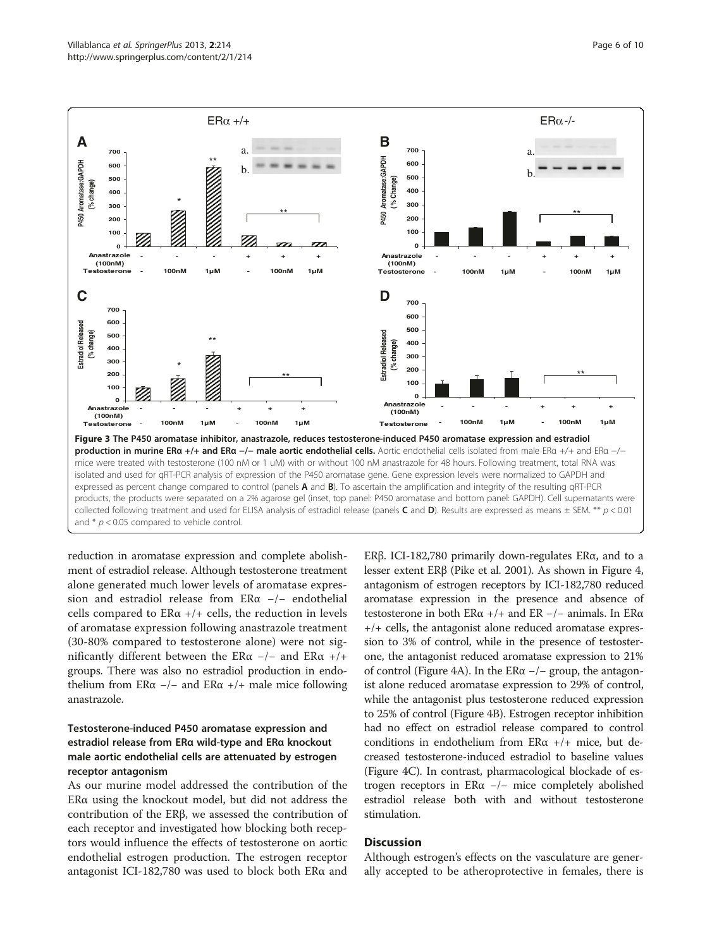<span id="page-5-0"></span>

and  $* p < 0.05$  compared to vehicle control.

reduction in aromatase expression and complete abolishment of estradiol release. Although testosterone treatment alone generated much lower levels of aromatase expression and estradiol release from ERα -/- endothelial cells compared to  $ER\alpha$  +/+ cells, the reduction in levels of aromatase expression following anastrazole treatment (30-80% compared to testosterone alone) were not significantly different between the ERα  $-/-$  and ERα  $+/+$ groups. There was also no estradiol production in endothelium from ERα  $-/-$  and ERα  $+/+$  male mice following anastrazole.

## Testosterone-induced P450 aromatase expression and estradiol release from ERα wild-type and ERα knockout male aortic endothelial cells are attenuated by estrogen receptor antagonism

As our murine model addressed the contribution of the ERα using the knockout model, but did not address the contribution of the ERβ, we assessed the contribution of each receptor and investigated how blocking both receptors would influence the effects of testosterone on aortic endothelial estrogen production. The estrogen receptor antagonist ICI-182,780 was used to block both ERα and

ERβ. ICI-182,780 primarily down-regulates ERα, and to a lesser extent ERβ (Pike et al. [2001\)](#page-9-0). As shown in Figure [4](#page-6-0), antagonism of estrogen receptors by ICI-182,780 reduced aromatase expression in the presence and absence of testosterone in both ERα +/+ and ER  $-/-$  animals. In ERα  $+/-$  cells, the antagonist alone reduced aromatase expression to 3% of control, while in the presence of testosterone, the antagonist reduced aromatase expression to 21% of control (Figure [4](#page-6-0)A). In the ERα −/− group, the antagonist alone reduced aromatase expression to 29% of control, while the antagonist plus testosterone reduced expression to 25% of control (Figure [4](#page-6-0)B). Estrogen receptor inhibition had no effect on estradiol release compared to control conditions in endothelium from ER $\alpha$  +/+ mice, but decreased testosterone-induced estradiol to baseline values (Figure [4](#page-6-0)C). In contrast, pharmacological blockade of estrogen receptors in ERα  $-/-$  mice completely abolished estradiol release both with and without testosterone stimulation.

## **Discussion**

Although estrogen's effects on the vasculature are generally accepted to be atheroprotective in females, there is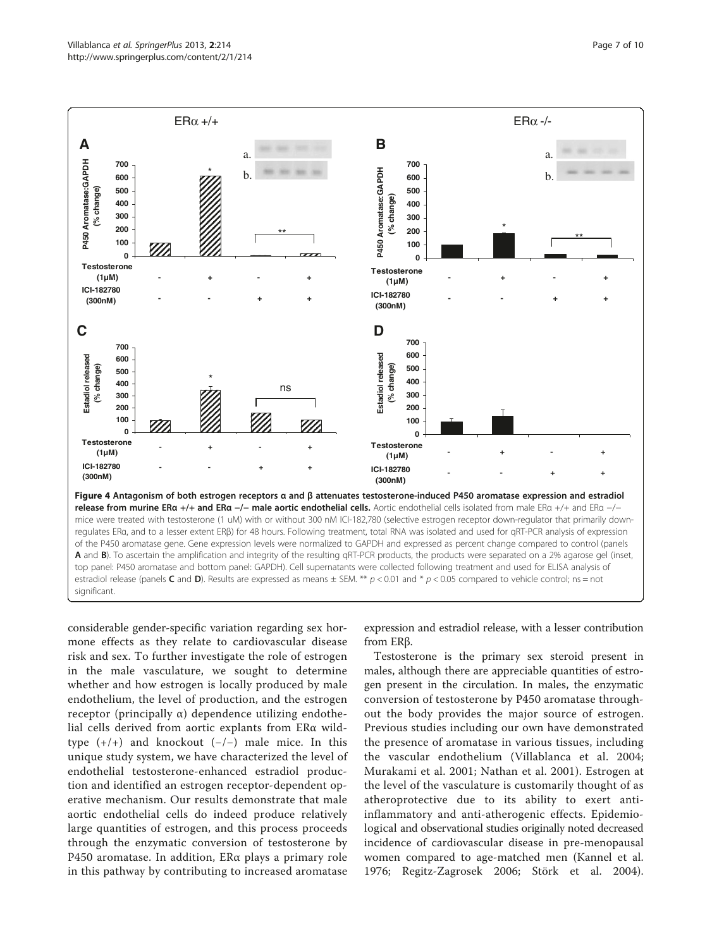<span id="page-6-0"></span>

considerable gender-specific variation regarding sex hormone effects as they relate to cardiovascular disease risk and sex. To further investigate the role of estrogen in the male vasculature, we sought to determine whether and how estrogen is locally produced by male endothelium, the level of production, and the estrogen receptor (principally α) dependence utilizing endothelial cells derived from aortic explants from ERα wildtype  $(+/+)$  and knockout  $(-/-)$  male mice. In this unique study system, we have characterized the level of endothelial testosterone-enhanced estradiol production and identified an estrogen receptor-dependent operative mechanism. Our results demonstrate that male aortic endothelial cells do indeed produce relatively large quantities of estrogen, and this process proceeds through the enzymatic conversion of testosterone by P450 aromatase. In addition, ERα plays a primary role in this pathway by contributing to increased aromatase

expression and estradiol release, with a lesser contribution from ERβ.

Testosterone is the primary sex steroid present in males, although there are appreciable quantities of estrogen present in the circulation. In males, the enzymatic conversion of testosterone by P450 aromatase throughout the body provides the major source of estrogen. Previous studies including our own have demonstrated the presence of aromatase in various tissues, including the vascular endothelium (Villablanca et al. [2004](#page-9-0); Murakami et al. [2001;](#page-9-0) Nathan et al. [2001](#page-9-0)). Estrogen at the level of the vasculature is customarily thought of as atheroprotective due to its ability to exert antiinflammatory and anti-atherogenic effects. Epidemiological and observational studies originally noted decreased incidence of cardiovascular disease in pre-menopausal women compared to age-matched men (Kannel et al. [1976;](#page-8-0) Regitz-Zagrosek [2006](#page-9-0); Störk et al. [2004](#page-9-0)).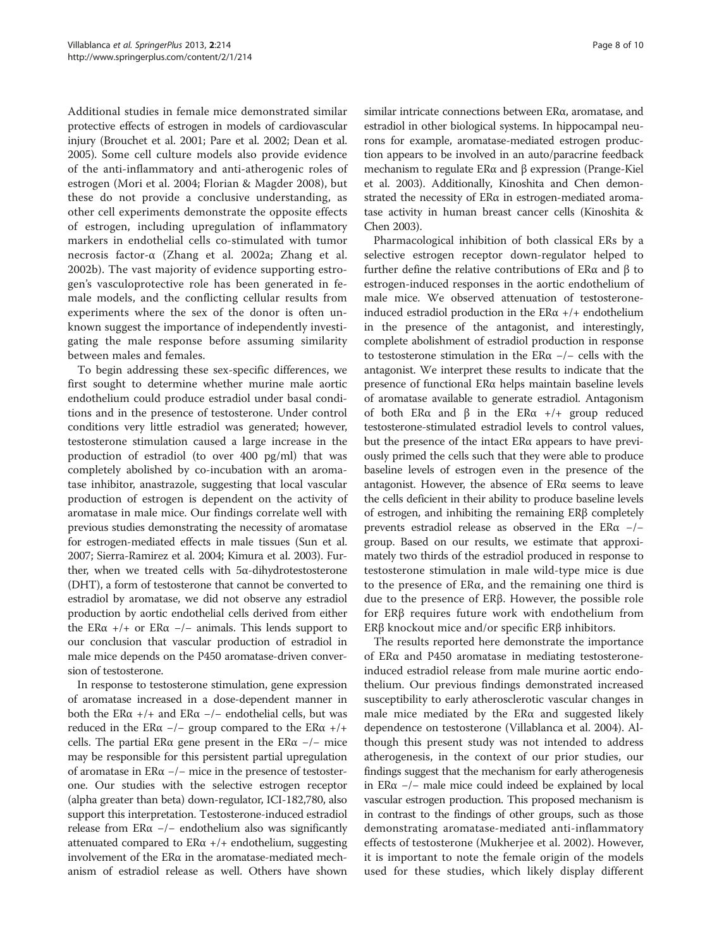Additional studies in female mice demonstrated similar protective effects of estrogen in models of cardiovascular injury (Brouchet et al. [2001;](#page-8-0) Pare et al. [2002](#page-9-0); Dean et al. [2005\)](#page-8-0). Some cell culture models also provide evidence of the anti-inflammatory and anti-atherogenic roles of estrogen (Mori et al. [2004](#page-9-0); Florian & Magder [2008](#page-8-0)), but these do not provide a conclusive understanding, as other cell experiments demonstrate the opposite effects of estrogen, including upregulation of inflammatory markers in endothelial cells co-stimulated with tumor necrosis factor-α (Zhang et al. [2002a](#page-9-0); Zhang et al. [2002b\)](#page-9-0). The vast majority of evidence supporting estrogen's vasculoprotective role has been generated in female models, and the conflicting cellular results from experiments where the sex of the donor is often unknown suggest the importance of independently investigating the male response before assuming similarity between males and females.

To begin addressing these sex-specific differences, we first sought to determine whether murine male aortic endothelium could produce estradiol under basal conditions and in the presence of testosterone. Under control conditions very little estradiol was generated; however, testosterone stimulation caused a large increase in the production of estradiol (to over 400 pg/ml) that was completely abolished by co-incubation with an aromatase inhibitor, anastrazole, suggesting that local vascular production of estrogen is dependent on the activity of aromatase in male mice. Our findings correlate well with previous studies demonstrating the necessity of aromatase for estrogen-mediated effects in male tissues (Sun et al. [2007;](#page-9-0) Sierra-Ramirez et al. [2004](#page-9-0); Kimura et al. [2003](#page-8-0)). Further, when we treated cells with 5α-dihydrotestosterone (DHT), a form of testosterone that cannot be converted to estradiol by aromatase, we did not observe any estradiol production by aortic endothelial cells derived from either the ERα +/+ or ERα -/- animals. This lends support to our conclusion that vascular production of estradiol in male mice depends on the P450 aromatase-driven conversion of testosterone.

In response to testosterone stimulation, gene expression of aromatase increased in a dose-dependent manner in both the ERα +/+ and ERα -/- endothelial cells, but was reduced in the ER $\alpha$  –/– group compared to the ER $\alpha$  +/+ cells. The partial ERα gene present in the ERα −/− mice may be responsible for this persistent partial upregulation of aromatase in ERα −/− mice in the presence of testosterone. Our studies with the selective estrogen receptor (alpha greater than beta) down-regulator, ICI-182,780, also support this interpretation. Testosterone-induced estradiol release from ER $\alpha$  –/– endothelium also was significantly attenuated compared to ERα +/+ endothelium, suggesting involvement of the ERα in the aromatase-mediated mechanism of estradiol release as well. Others have shown

similar intricate connections between ERα, aromatase, and estradiol in other biological systems. In hippocampal neurons for example, aromatase-mediated estrogen production appears to be involved in an auto/paracrine feedback mechanism to regulate ERα and β expression (Prange-Kiel et al. [2003\)](#page-9-0). Additionally, Kinoshita and Chen demonstrated the necessity of ERα in estrogen-mediated aromatase activity in human breast cancer cells (Kinoshita & Chen [2003\)](#page-9-0).

Pharmacological inhibition of both classical ERs by a selective estrogen receptor down-regulator helped to further define the relative contributions of ERα and β to estrogen-induced responses in the aortic endothelium of male mice. We observed attenuation of testosteroneinduced estradiol production in the  $ER\alpha$  +/+ endothelium in the presence of the antagonist, and interestingly, complete abolishment of estradiol production in response to testosterone stimulation in the ERα −/− cells with the antagonist. We interpret these results to indicate that the presence of functional ERα helps maintain baseline levels of aromatase available to generate estradiol. Antagonism of both ERα and β in the ERα +/+ group reduced testosterone-stimulated estradiol levels to control values, but the presence of the intact ERα appears to have previously primed the cells such that they were able to produce baseline levels of estrogen even in the presence of the antagonist. However, the absence of ERα seems to leave the cells deficient in their ability to produce baseline levels of estrogen, and inhibiting the remaining ERβ completely prevents estradiol release as observed in the ERα −/− group. Based on our results, we estimate that approximately two thirds of the estradiol produced in response to testosterone stimulation in male wild-type mice is due to the presence of ERα, and the remaining one third is due to the presence of ERβ. However, the possible role for ERβ requires future work with endothelium from ERβ knockout mice and/or specific ERβ inhibitors.

The results reported here demonstrate the importance of ERα and P450 aromatase in mediating testosteroneinduced estradiol release from male murine aortic endothelium. Our previous findings demonstrated increased susceptibility to early atherosclerotic vascular changes in male mice mediated by the ERα and suggested likely dependence on testosterone (Villablanca et al. [2004](#page-9-0)). Although this present study was not intended to address atherogenesis, in the context of our prior studies, our findings suggest that the mechanism for early atherogenesis in ERα −/− male mice could indeed be explained by local vascular estrogen production. This proposed mechanism is in contrast to the findings of other groups, such as those demonstrating aromatase-mediated anti-inflammatory effects of testosterone (Mukherjee et al. [2002\)](#page-9-0). However, it is important to note the female origin of the models used for these studies, which likely display different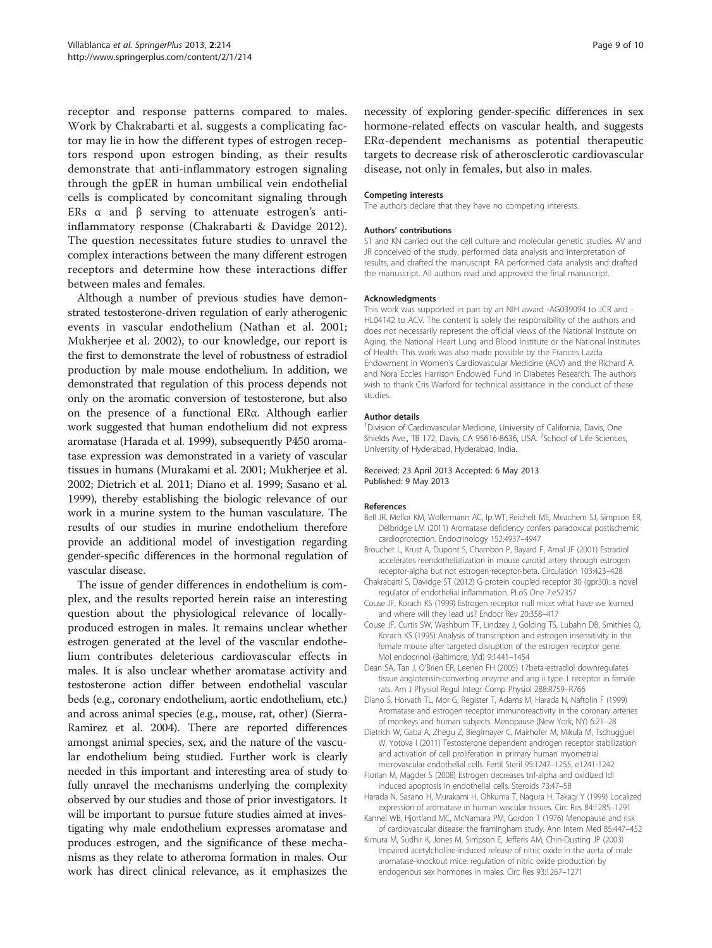<span id="page-8-0"></span>receptor and response patterns compared to males. Work by Chakrabarti et al. suggests a complicating factor may lie in how the different types of estrogen receptors respond upon estrogen binding, as their results demonstrate that anti-inflammatory estrogen signaling through the gpER in human umbilical vein endothelial cells is complicated by concomitant signaling through ERs  $\alpha$  and  $\beta$  serving to attenuate estrogen's antiinflammatory response (Chakrabarti & Davidge 2012). The question necessitates future studies to unravel the complex interactions between the many different estrogen receptors and determine how these interactions differ between males and females.

Although a number of previous studies have demonstrated testosterone-driven regulation of early atherogenic events in vascular endothelium (Nathan et al. [2001](#page-9-0); Mukherjee et al. [2002\)](#page-9-0), to our knowledge, our report is the first to demonstrate the level of robustness of estradiol production by male mouse endothelium. In addition, we demonstrated that regulation of this process depends not only on the aromatic conversion of testosterone, but also on the presence of a functional ERα. Although earlier work suggested that human endothelium did not express aromatase (Harada et al. 1999), subsequently P450 aromatase expression was demonstrated in a variety of vascular tissues in humans (Murakami et al. [2001](#page-9-0); Mukherjee et al. [2002;](#page-9-0) Dietrich et al. 2011; Diano et al. 1999; Sasano et al. [1999\)](#page-9-0), thereby establishing the biologic relevance of our work in a murine system to the human vasculature. The results of our studies in murine endothelium therefore provide an additional model of investigation regarding gender-specific differences in the hormonal regulation of vascular disease.

The issue of gender differences in endothelium is complex, and the results reported herein raise an interesting question about the physiological relevance of locallyproduced estrogen in males. It remains unclear whether estrogen generated at the level of the vascular endothelium contributes deleterious cardiovascular effects in males. It is also unclear whether aromatase activity and testosterone action differ between endothelial vascular beds (e.g., coronary endothelium, aortic endothelium, etc.) and across animal species (e.g., mouse, rat, other) (Sierra-Ramirez et al. [2004](#page-9-0)). There are reported differences amongst animal species, sex, and the nature of the vascular endothelium being studied. Further work is clearly needed in this important and interesting area of study to fully unravel the mechanisms underlying the complexity observed by our studies and those of prior investigators. It will be important to pursue future studies aimed at investigating why male endothelium expresses aromatase and produces estrogen, and the significance of these mechanisms as they relate to atheroma formation in males. Our work has direct clinical relevance, as it emphasizes the

necessity of exploring gender-specific differences in sex hormone-related effects on vascular health, and suggests ERα-dependent mechanisms as potential therapeutic targets to decrease risk of atherosclerotic cardiovascular disease, not only in females, but also in males.

#### Competing interests

The authors declare that they have no competing interests.

#### Authors' contributions

ST and KN carried out the cell culture and molecular genetic studies. AV and JR conceived of the study, performed data analysis and interpretation of results, and drafted the manuscript. RA performed data analysis and drafted the manuscript. All authors read and approved the final manuscript.

#### Acknowledgments

This work was supported in part by an NIH award -AG039094 to JCR and - HL04142 to ACV. The content is solely the responsibility of the authors and does not necessarily represent the official views of the National Institute on Aging, the National Heart Lung and Blood Institute or the National Institutes of Health. This work was also made possible by the Frances Lazda Endowment in Women's Cardiovascular Medicine (ACV) and the Richard A. and Nora Eccles Harrison Endowed Fund in Diabetes Research. The authors wish to thank Cris Warford for technical assistance in the conduct of these studies.

#### Author details

<sup>1</sup> Division of Cardiovascular Medicine, University of California, Davis, One Shields Ave., TB 172, Davis, CA 95616-8636, USA. <sup>2</sup>School of Life Sciences, University of Hyderabad, Hyderabad, India.

#### Received: 23 April 2013 Accepted: 6 May 2013 Published: 9 May 2013

#### References

- Bell JR, Mellor KM, Wollermann AC, Ip WT, Reichelt ME, Meachem SJ, Simpson ER, Delbridge LM (2011) Aromatase deficiency confers paradoxical postischemic cardioprotection. Endocrinology 152:4937–4947
- Brouchet L, Krust A, Dupont S, Chambon P, Bayard F, Arnal JF (2001) Estradiol accelerates reendothelialization in mouse carotid artery through estrogen receptor-alpha but not estrogen receptor-beta. Circulation 103:423–428
- Chakrabarti S, Davidge ST (2012) G-protein coupled receptor 30 (gpr30): a novel regulator of endothelial inflammation. PLoS One 7:e52357
- Couse JF, Korach KS (1999) Estrogen receptor null mice: what have we learned and where will they lead us? Endocr Rev 20:358–417
- Couse JF, Curtis SW, Washburn TF, Lindzey J, Golding TS, Lubahn DB, Smithies O, Korach KS (1995) Analysis of transcription and estrogen insensitivity in the female mouse after targeted disruption of the estrogen receptor gene. Mol endocrinol (Baltimore, Md) 9:1441–1454
- Dean SA, Tan J, O'Brien ER, Leenen FH (2005) 17beta-estradiol downregulates tissue angiotensin-converting enzyme and ang ii type 1 receptor in female rats. Am J Physiol Regul Integr Comp Physiol 288:R759–R766
- Diano S, Horvath TL, Mor G, Register T, Adams M, Harada N, Naftolin F (1999) Aromatase and estrogen receptor immunoreactivity in the coronary arteries of monkeys and human subjects. Menopause (New York, NY) 6:21–28
- Dietrich W, Gaba A, Zhegu Z, Bieglmayer C, Mairhofer M, Mikula M, Tschugguel W, Yotova I (2011) Testosterone dependent androgen receptor stabilization and activation of cell proliferation in primary human myometrial microvascular endothelial cells. Fertil Steril 95:1247–1255, e1241-1242
- Florian M, Magder S (2008) Estrogen decreases tnf-alpha and oxidized ldl induced apoptosis in endothelial cells. Steroids 73:47–58
- Harada N, Sasano H, Murakami H, Ohkuma T, Nagura H, Takagi Y (1999) Localized expression of aromatase in human vascular tissues. Circ Res 84:1285–1291
- Kannel WB, Hjortland MC, McNamara PM, Gordon T (1976) Menopause and risk of cardiovascular disease: the framingham study. Ann Intern Med 85:447–452
- Kimura M, Sudhir K, Jones M, Simpson E, Jefferis AM, Chin-Dusting JP (2003) Impaired acetylcholine-induced release of nitric oxide in the aorta of male aromatase-knockout mice: regulation of nitric oxide production by endogenous sex hormones in males. Circ Res 93:1267–1271